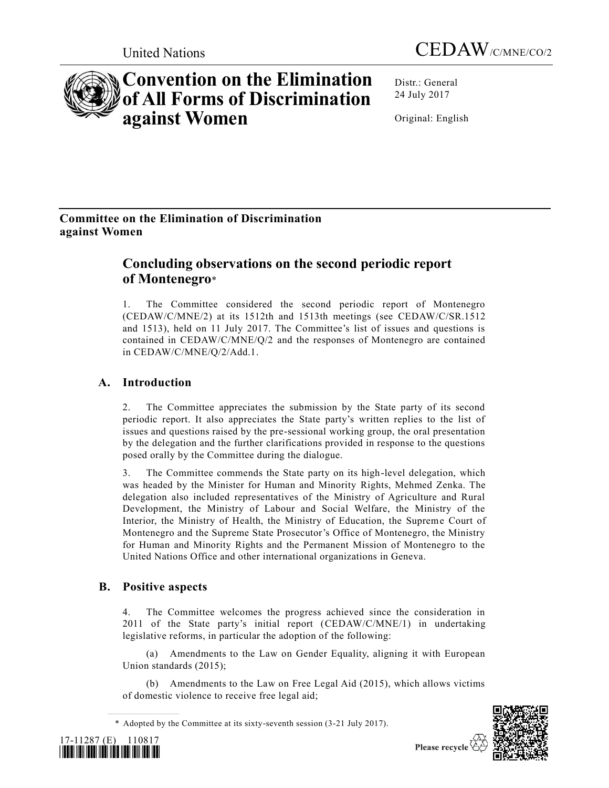



# **Convention on the Elimination of All Forms of Discrimination against Women**

Distr.: General 24 July 2017

Original: English

# **Committee on the Elimination of Discrimination against Women**

# **Concluding observations on the second periodic report of Montenegro**\*

1. The Committee considered the second periodic report of Montenegro [\(CEDAW/C/MNE/2\)](https://undocs.org/CEDAW/C/MNE/2) at its 1512th and 1513th meetings (see [CEDAW/C/SR.1512](https://undocs.org/CEDAW/C/SR.1512) and 1513), held on 11 July 2017. The Committee's list of issues and questions is contained in [CEDAW/C/MNE/Q/2](https://undocs.org/CEDAW/C/MNE/Q/2) and the responses of Montenegro are contained in [CEDAW/C/MNE/Q/2/Add.1.](https://undocs.org/CEDAW/C/MNE/Q/2/Add.1)

# **A. Introduction**

2. The Committee appreciates the submission by the State party of its second periodic report. It also appreciates the State party's written replies to the list of issues and questions raised by the pre-sessional working group, the oral presentation by the delegation and the further clarifications provided in response to the questions posed orally by the Committee during the dialogue.

3. The Committee commends the State party on its high-level delegation, which was headed by the Minister for Human and Minority Rights, Mehmed Zenka. The delegation also included representatives of the Ministry of Agriculture and Rural Development, the Ministry of Labour and Social Welfare, the Ministry of the Interior, the Ministry of Health, the Ministry of Education, the Supreme Court of Montenegro and the Supreme State Prosecutor's Office of Montenegro, the Ministry for Human and Minority Rights and the Permanent Mission of Montenegro to the United Nations Office and other international organizations in Geneva.

# **B. Positive aspects**

4. The Committee welcomes the progress achieved since the consideration in 2011 of the State party's initial report [\(CEDAW/C/MNE/1\)](https://undocs.org/CEDAW/C/MNE/1) in undertaking legislative reforms, in particular the adoption of the following:

(a) Amendments to the Law on Gender Equality, aligning it with European Union standards (2015);

(b) Amendments to the Law on Free Legal Aid (2015), which allows victims of domestic violence to receive free legal aid;

<sup>\*</sup> Adopted by the Committee at its sixty-seventh session (3-21 July 2017).



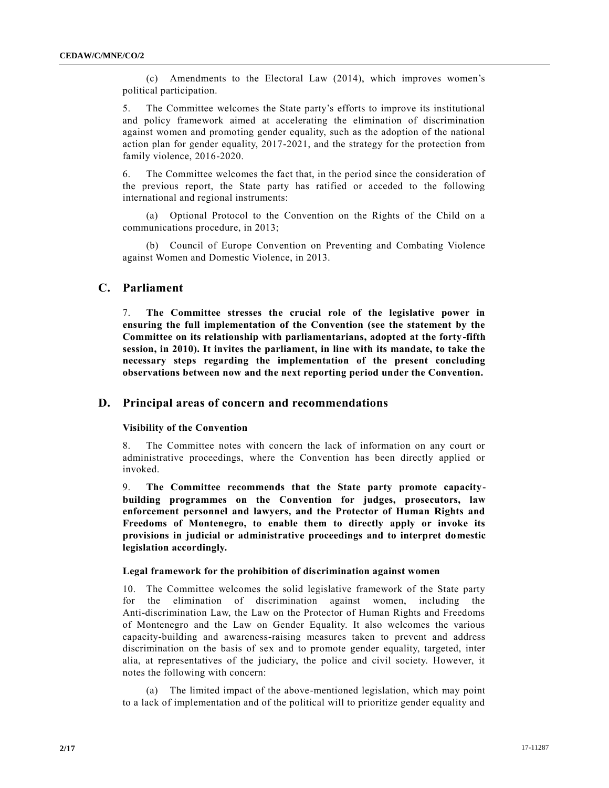(c) Amendments to the Electoral Law (2014), which improves women's political participation.

5. The Committee welcomes the State party's efforts to improve its institutional and policy framework aimed at accelerating the elimination of discrimination against women and promoting gender equality, such as the adoption of the national action plan for gender equality, 2017-2021, and the strategy for the protection from family violence, 2016-2020.

6. The Committee welcomes the fact that, in the period since the consideration of the previous report, the State party has ratified or acceded to the following international and regional instruments:

(a) Optional Protocol to the Convention on the Rights of the Child on a communications procedure, in 2013;

(b) Council of Europe Convention on Preventing and Combating Violence against Women and Domestic Violence, in 2013.

# **C. Parliament**

7. **The Committee stresses the crucial role of the legislative power in ensuring the full implementation of the Convention (see the statement by the Committee on its relationship with parliamentarians, adopted at the forty-fifth session, in 2010). It invites the parliament, in line with its mandate, to take the necessary steps regarding the implementation of the present concluding observations between now and the next reporting period under the Convention.**

# **D. Principal areas of concern and recommendations**

#### **Visibility of the Convention**

8. The Committee notes with concern the lack of information on any court or administrative proceedings, where the Convention has been directly applied or invoked.

9. **The Committee recommends that the State party promote capacitybuilding programmes on the Convention for judges, prosecutors, law enforcement personnel and lawyers, and the Protector of Human Rights and Freedoms of Montenegro, to enable them to directly apply or invoke its provisions in judicial or administrative proceedings and to interpret domestic legislation accordingly.**

### **Legal framework for the prohibition of discrimination against women**

10. The Committee welcomes the solid legislative framework of the State party for the elimination of discrimination against women, including the Anti-discrimination Law, the Law on the Protector of Human Rights and Freedoms of Montenegro and the Law on Gender Equality. It also welcomes the various capacity-building and awareness-raising measures taken to prevent and address discrimination on the basis of sex and to promote gender equality, targeted, inter alia, at representatives of the judiciary, the police and civil society. However, it notes the following with concern:

(a) The limited impact of the above-mentioned legislation, which may point to a lack of implementation and of the political will to prioritize gender equality and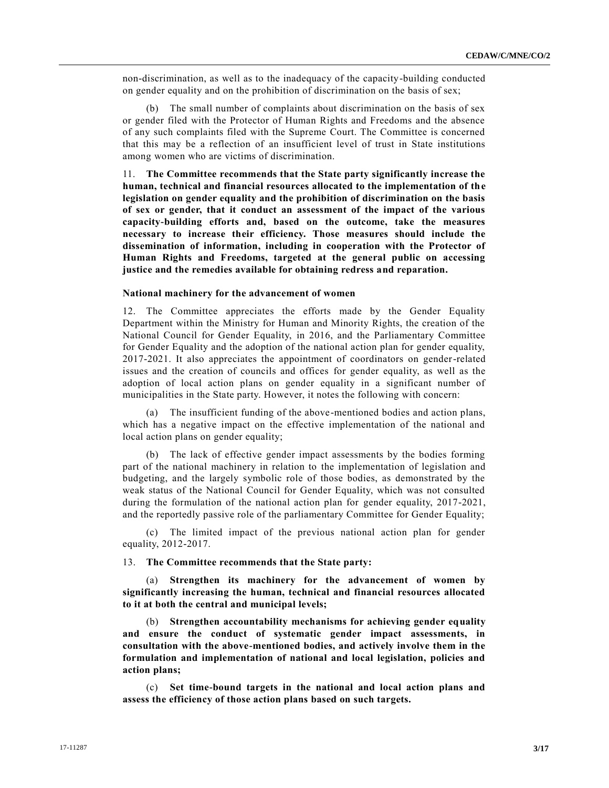non-discrimination, as well as to the inadequacy of the capacity-building conducted on gender equality and on the prohibition of discrimination on the basis of sex;

(b) The small number of complaints about discrimination on the basis of sex or gender filed with the Protector of Human Rights and Freedoms and the absence of any such complaints filed with the Supreme Court. The Committee is concerned that this may be a reflection of an insufficient level of trust in State institutions among women who are victims of discrimination.

11. **The Committee recommends that the State party significantly increase the human, technical and financial resources allocated to the implementation of the legislation on gender equality and the prohibition of discrimination on the basis of sex or gender, that it conduct an assessment of the impact of the various capacity-building efforts and, based on the outcome, take the measures necessary to increase their efficiency. Those measures should include the dissemination of information, including in cooperation with the Protector of Human Rights and Freedoms, targeted at the general public on accessing justice and the remedies available for obtaining redress and reparation.**

# **National machinery for the advancement of women**

12. The Committee appreciates the efforts made by the Gender Equality Department within the Ministry for Human and Minority Rights, the creation of the National Council for Gender Equality, in 2016, and the Parliamentary Committee for Gender Equality and the adoption of the national action plan for gender equality, 2017-2021. It also appreciates the appointment of coordinators on gender-related issues and the creation of councils and offices for gender equality, as well as the adoption of local action plans on gender equality in a significant number of municipalities in the State party. However, it notes the following with concern:

(a) The insufficient funding of the above-mentioned bodies and action plans, which has a negative impact on the effective implementation of the national and local action plans on gender equality;

(b) The lack of effective gender impact assessments by the bodies forming part of the national machinery in relation to the implementation of legislation and budgeting, and the largely symbolic role of those bodies, as demonstrated by the weak status of the National Council for Gender Equality, which was not consulted during the formulation of the national action plan for gender equality, 2017-2021, and the reportedly passive role of the parliamentary Committee for Gender Equality;

(c) The limited impact of the previous national action plan for gender equality, 2012-2017.

# 13. **The Committee recommends that the State party:**

(a) **Strengthen its machinery for the advancement of women by significantly increasing the human, technical and financial resources allocated to it at both the central and municipal levels;**

(b) **Strengthen accountability mechanisms for achieving gender equality and ensure the conduct of systematic gender impact assessments, in consultation with the above-mentioned bodies, and actively involve them in the formulation and implementation of national and local legislation, policies and action plans;**

(c) **Set time-bound targets in the national and local action plans and assess the efficiency of those action plans based on such targets.**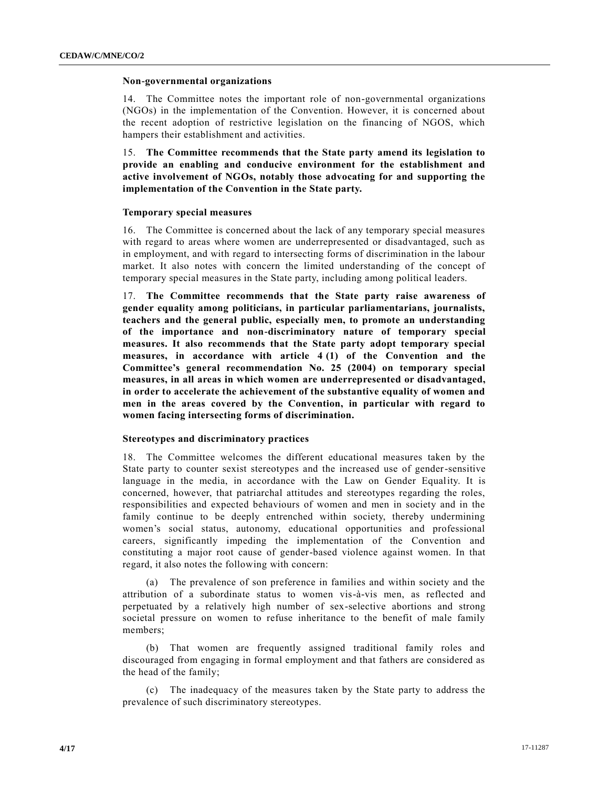#### **Non-governmental organizations**

14. The Committee notes the important role of non-governmental organizations (NGOs) in the implementation of the Convention. However, it is concerned about the recent adoption of restrictive legislation on the financing of NGOS, which hampers their establishment and activities.

15. **The Committee recommends that the State party amend its legislation to provide an enabling and conducive environment for the establishment and active involvement of NGOs, notably those advocating for and supporting the implementation of the Convention in the State party.**

#### **Temporary special measures**

16. The Committee is concerned about the lack of any temporary special measures with regard to areas where women are underrepresented or disadvantaged, such as in employment, and with regard to intersecting forms of discrimination in the labour market. It also notes with concern the limited understanding of the concept of temporary special measures in the State party, including among political leaders.

17. **The Committee recommends that the State party raise awareness of gender equality among politicians, in particular parliamentarians, journalists, teachers and the general public, especially men, to promote an understanding of the importance and non-discriminatory nature of temporary special measures. It also recommends that the State party adopt temporary special measures, in accordance with article 4 (1) of the Convention and the Committee's general recommendation No. 25 (2004) on temporary special measures, in all areas in which women are underrepresented or disadvantaged, in order to accelerate the achievement of the substantive equality of women and men in the areas covered by the Convention, in particular with regard to women facing intersecting forms of discrimination.**

# **Stereotypes and discriminatory practices**

18. The Committee welcomes the different educational measures taken by the State party to counter sexist stereotypes and the increased use of gender-sensitive language in the media, in accordance with the Law on Gender Equality. It is concerned, however, that patriarchal attitudes and stereotypes regarding the roles, responsibilities and expected behaviours of women and men in society and in the family continue to be deeply entrenched within society, thereby undermining women's social status, autonomy, educational opportunities and professional careers, significantly impeding the implementation of the Convention and constituting a major root cause of gender-based violence against women. In that regard, it also notes the following with concern:

(a) The prevalence of son preference in families and within society and the attribution of a subordinate status to women vis-à-vis men, as reflected and perpetuated by a relatively high number of sex-selective abortions and strong societal pressure on women to refuse inheritance to the benefit of male family members;

(b) That women are frequently assigned traditional family roles and discouraged from engaging in formal employment and that fathers are considered as the head of the family;

(c) The inadequacy of the measures taken by the State party to address the prevalence of such discriminatory stereotypes.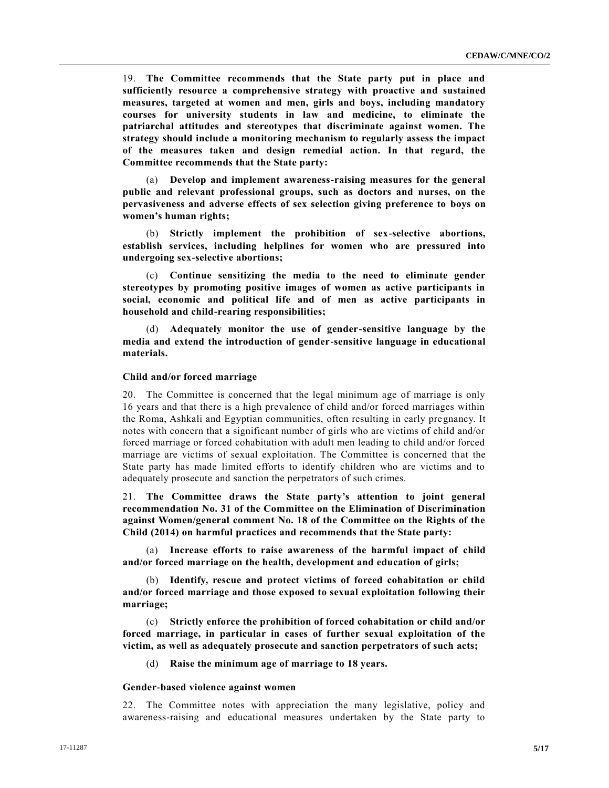19. **The Committee recommends that the State party put in place and sufficiently resource a comprehensive strategy with proactive and sustained measures, targeted at women and men, girls and boys, including mandatory courses for university students in law and medicine, to eliminate the patriarchal attitudes and stereotypes that discriminate against women. The strategy should include a monitoring mechanism to regularly assess the impact of the measures taken and design remedial action. In that regard, the Committee recommends that the State party:**

(a) **Develop and implement awareness-raising measures for the general public and relevant professional groups, such as doctors and nurses, on the pervasiveness and adverse effects of sex selection giving preference to boys on women's human rights;**

(b) **Strictly implement the prohibition of sex-selective abortions, establish services, including helplines for women who are pressured into undergoing sex-selective abortions;**

(c) **Continue sensitizing the media to the need to eliminate gender stereotypes by promoting positive images of women as active participants in social, economic and political life and of men as active participants in household and child-rearing responsibilities;**

(d) **Adequately monitor the use of gender-sensitive language by the media and extend the introduction of gender-sensitive language in educational materials.**

## **Child and/or forced marriage**

20. The Committee is concerned that the legal minimum age of marriage is only 16 years and that there is a high prevalence of child and/or forced marriages within the Roma, Ashkali and Egyptian communities, often resulting in early pregnancy. It notes with concern that a significant number of girls who are victims of child and/or forced marriage or forced cohabitation with adult men leading to child and/or forced marriage are victims of sexual exploitation. The Committee is concerned that the State party has made limited efforts to identify children who are victims and to adequately prosecute and sanction the perpetrators of such crimes.

21. **The Committee draws the State party's attention to joint general recommendation No. 31 of the Committee on the Elimination of Discrimination against Women/general comment No. 18 of the Committee on the Rights of the Child (2014) on harmful practices and recommends that the State party:**

(a) **Increase efforts to raise awareness of the harmful impact of child and/or forced marriage on the health, development and education of girls;**

(b) **Identify, rescue and protect victims of forced cohabitation or child and/or forced marriage and those exposed to sexual exploitation following their marriage;**

(c) **Strictly enforce the prohibition of forced cohabitation or child and/or forced marriage, in particular in cases of further sexual exploitation of the victim, as well as adequately prosecute and sanction perpetrators of such acts;**

(d) **Raise the minimum age of marriage to 18 years.**

#### **Gender-based violence against women**

22. The Committee notes with appreciation the many legislative, policy and awareness-raising and educational measures undertaken by the State party to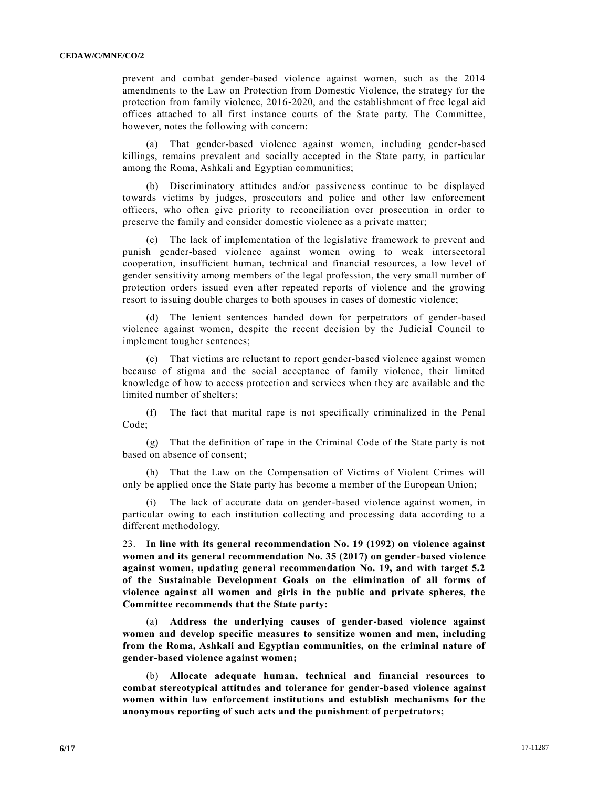prevent and combat gender-based violence against women, such as the 2014 amendments to the Law on Protection from Domestic Violence, the strategy for the protection from family violence, 2016-2020, and the establishment of free legal aid offices attached to all first instance courts of the State party. The Committee, however, notes the following with concern:

(a) That gender-based violence against women, including gender-based killings, remains prevalent and socially accepted in the State party, in particular among the Roma, Ashkali and Egyptian communities;

(b) Discriminatory attitudes and/or passiveness continue to be displayed towards victims by judges, prosecutors and police and other law enforcement officers, who often give priority to reconciliation over prosecution in order to preserve the family and consider domestic violence as a private matter;

(c) The lack of implementation of the legislative framework to prevent and punish gender-based violence against women owing to weak intersectoral cooperation, insufficient human, technical and financial resources, a low level of gender sensitivity among members of the legal profession, the very small number of protection orders issued even after repeated reports of violence and the growing resort to issuing double charges to both spouses in cases of domestic violence;

(d) The lenient sentences handed down for perpetrators of gender-based violence against women, despite the recent decision by the Judicial Council to implement tougher sentences;

(e) That victims are reluctant to report gender-based violence against women because of stigma and the social acceptance of family violence, their limited knowledge of how to access protection and services when they are available and the limited number of shelters;

(f) The fact that marital rape is not specifically criminalized in the Penal Code;

(g) That the definition of rape in the Criminal Code of the State party is not based on absence of consent;

(h) That the Law on the Compensation of Victims of Violent Crimes will only be applied once the State party has become a member of the European Union;

(i) The lack of accurate data on gender-based violence against women, in particular owing to each institution collecting and processing data according to a different methodology.

23. **In line with its general recommendation No. 19 (1992) on violence against women and its general recommendation No. 35 (2017) on gender-based violence against women, updating general recommendation No. 19, and with target 5.2 of the Sustainable Development Goals on the elimination of all forms of violence against all women and girls in the public and private spheres, the Committee recommends that the State party:**

(a) **Address the underlying causes of gender-based violence against women and develop specific measures to sensitize women and men, including from the Roma, Ashkali and Egyptian communities, on the criminal nature of gender-based violence against women;**

(b) **Allocate adequate human, technical and financial resources to combat stereotypical attitudes and tolerance for gender-based violence against women within law enforcement institutions and establish mechanisms for the anonymous reporting of such acts and the punishment of perpetrators;**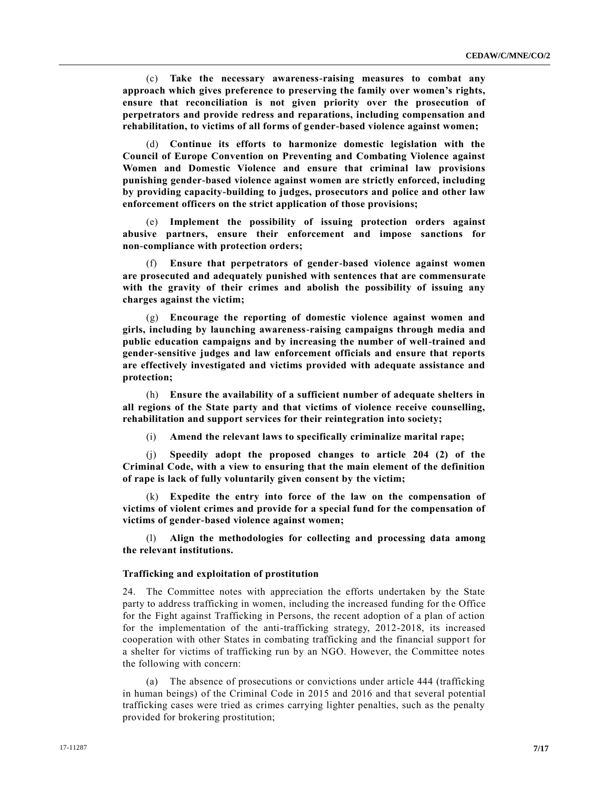(c) **Take the necessary awareness-raising measures to combat any approach which gives preference to preserving the family over women's rights, ensure that reconciliation is not given priority over the prosecution of perpetrators and provide redress and reparations, including compensation and rehabilitation, to victims of all forms of gender-based violence against women;**

(d) **Continue its efforts to harmonize domestic legislation with the Council of Europe Convention on Preventing and Combating Violence against Women and Domestic Violence and ensure that criminal law provisions punishing gender-based violence against women are strictly enforced, including by providing capacity-building to judges, prosecutors and police and other law enforcement officers on the strict application of those provisions;**

(e) **Implement the possibility of issuing protection orders against abusive partners, ensure their enforcement and impose sanctions for non-compliance with protection orders;**

(f) **Ensure that perpetrators of gender-based violence against women are prosecuted and adequately punished with sentences that are commensurate with the gravity of their crimes and abolish the possibility of issuing any charges against the victim;**

(g) **Encourage the reporting of domestic violence against women and girls, including by launching awareness-raising campaigns through media and public education campaigns and by increasing the number of well-trained and gender-sensitive judges and law enforcement officials and ensure that reports are effectively investigated and victims provided with adequate assistance and protection;**

(h) **Ensure the availability of a sufficient number of adequate shelters in all regions of the State party and that victims of violence receive counselling, rehabilitation and support services for their reintegration into society;**

(i) **Amend the relevant laws to specifically criminalize marital rape;**

(j) **Speedily adopt the proposed changes to article 204 (2) of the Criminal Code, with a view to ensuring that the main element of the definition of rape is lack of fully voluntarily given consent by the victim;**

(k) **Expedite the entry into force of the law on the compensation of victims of violent crimes and provide for a special fund for the compensation of victims of gender-based violence against women;**

(l) **Align the methodologies for collecting and processing data among the relevant institutions.**

#### **Trafficking and exploitation of prostitution**

24. The Committee notes with appreciation the efforts undertaken by the State party to address trafficking in women, including the increased funding for the Office for the Fight against Trafficking in Persons, the recent adoption of a plan of action for the implementation of the anti-trafficking strategy, 2012-2018, its increased cooperation with other States in combating trafficking and the financial support for a shelter for victims of trafficking run by an NGO. However, the Committee notes the following with concern:

(a) The absence of prosecutions or convictions under article 444 (trafficking in human beings) of the Criminal Code in 2015 and 2016 and that several potential trafficking cases were tried as crimes carrying lighter penalties, such as the penalty provided for brokering prostitution;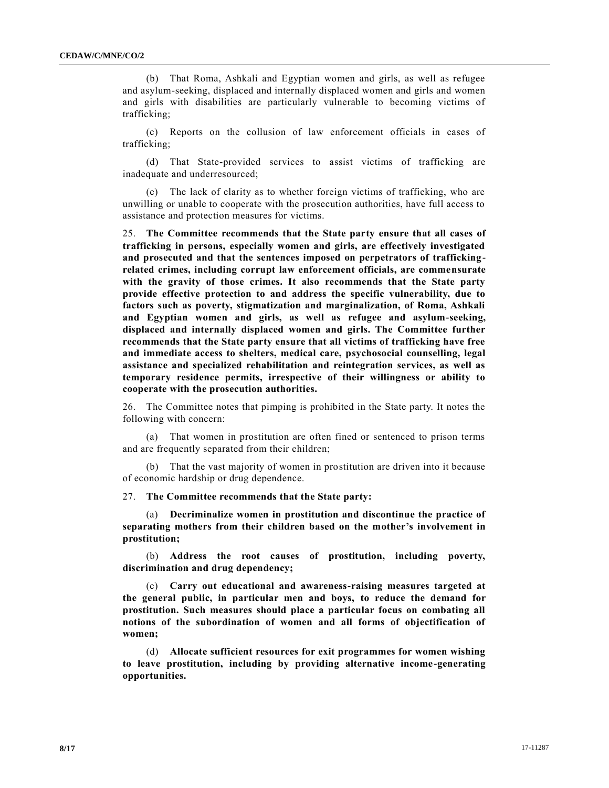(b) That Roma, Ashkali and Egyptian women and girls, as well as refugee and asylum-seeking, displaced and internally displaced women and girls and women and girls with disabilities are particularly vulnerable to becoming victims of trafficking;

(c) Reports on the collusion of law enforcement officials in cases of trafficking;

(d) That State-provided services to assist victims of trafficking are inadequate and underresourced;

(e) The lack of clarity as to whether foreign victims of trafficking, who are unwilling or unable to cooperate with the prosecution authorities, have full access to assistance and protection measures for victims.

25. **The Committee recommends that the State party ensure that all cases of trafficking in persons, especially women and girls, are effectively investigated and prosecuted and that the sentences imposed on perpetrators of traffickingrelated crimes, including corrupt law enforcement officials, are commensurate with the gravity of those crimes. It also recommends that the State party provide effective protection to and address the specific vulnerability, due to factors such as poverty, stigmatization and marginalization, of Roma, Ashkali and Egyptian women and girls, as well as refugee and asylum-seeking, displaced and internally displaced women and girls. The Committee further recommends that the State party ensure that all victims of trafficking have free and immediate access to shelters, medical care, psychosocial counselling, legal assistance and specialized rehabilitation and reintegration services, as well as temporary residence permits, irrespective of their willingness or ability to cooperate with the prosecution authorities.**

26. The Committee notes that pimping is prohibited in the State party. It notes the following with concern:

(a) That women in prostitution are often fined or sentenced to prison terms and are frequently separated from their children;

(b) That the vast majority of women in prostitution are driven into it because of economic hardship or drug dependence.

27. **The Committee recommends that the State party:**

(a) **Decriminalize women in prostitution and discontinue the practice of separating mothers from their children based on the mother's involvement in prostitution;**

(b) **Address the root causes of prostitution, including poverty, discrimination and drug dependency;**

(c) **Carry out educational and awareness-raising measures targeted at the general public, in particular men and boys, to reduce the demand for prostitution. Such measures should place a particular focus on combating all notions of the subordination of women and all forms of objectification of women;**

(d) **Allocate sufficient resources for exit programmes for women wishing to leave prostitution, including by providing alternative income-generating opportunities.**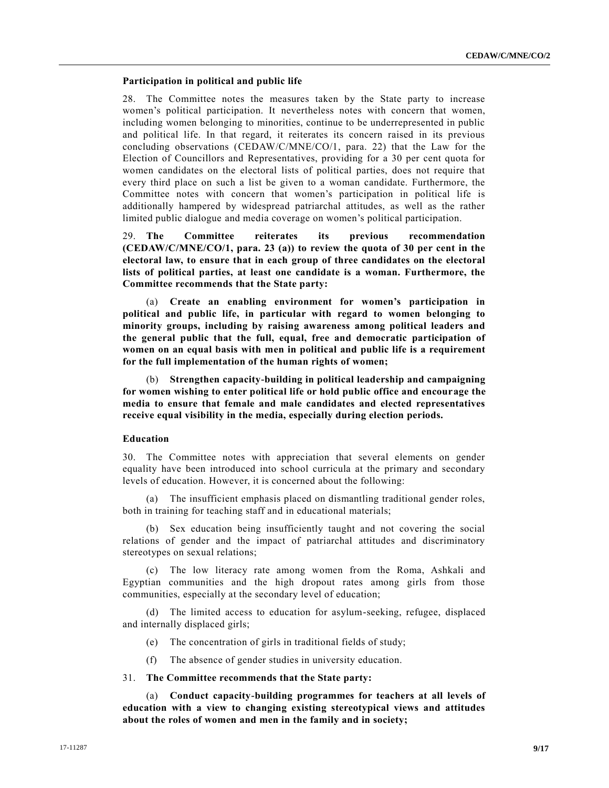#### **Participation in political and public life**

28. The Committee notes the measures taken by the State party to increase women's political participation. It nevertheless notes with concern that women, including women belonging to minorities, continue to be underrepresented in public and political life. In that regard, it reiterates its concern raised in its previous concluding observations [\(CEDAW/C/MNE/CO/1,](https://undocs.org/CEDAW/C/MNE/CO/1) para. 22) that the Law for the Election of Councillors and Representatives, providing for a 30 per cent quota for women candidates on the electoral lists of political parties, does not require that every third place on such a list be given to a woman candidate. Furthermore, the Committee notes with concern that women's participation in political life is additionally hampered by widespread patriarchal attitudes, as well as the rather limited public dialogue and media coverage on women's political participation.

29. **The Committee reiterates its previous recommendation [\(CEDAW/C/MNE/CO/1,](https://undocs.org/CEDAW/C/MNE/CO/1) para. 23 (a)) to review the quota of 30 per cent in the electoral law, to ensure that in each group of three candidates on the electoral lists of political parties, at least one candidate is a woman. Furthermore, the Committee recommends that the State party:**

(a) **Create an enabling environment for women's participation in political and public life, in particular with regard to women belonging to minority groups, including by raising awareness among political leaders and the general public that the full, equal, free and democratic participation of women on an equal basis with men in political and public life is a requirement for the full implementation of the human rights of women;**

(b) **Strengthen capacity-building in political leadership and campaigning for women wishing to enter political life or hold public office and encourage the media to ensure that female and male candidates and elected representatives receive equal visibility in the media, especially during election periods.**

# **Education**

30. The Committee notes with appreciation that several elements on gender equality have been introduced into school curricula at the primary and secondary levels of education. However, it is concerned about the following:

(a) The insufficient emphasis placed on dismantling traditional gender roles, both in training for teaching staff and in educational materials;

(b) Sex education being insufficiently taught and not covering the social relations of gender and the impact of patriarchal attitudes and discriminatory stereotypes on sexual relations;

(c) The low literacy rate among women from the Roma, Ashkali and Egyptian communities and the high dropout rates among girls from those communities, especially at the secondary level of education;

(d) The limited access to education for asylum-seeking, refugee, displaced and internally displaced girls;

(e) The concentration of girls in traditional fields of study;

(f) The absence of gender studies in university education.

# 31. **The Committee recommends that the State party:**

(a) **Conduct capacity-building programmes for teachers at all levels of education with a view to changing existing stereotypical views and attitudes about the roles of women and men in the family and in society;**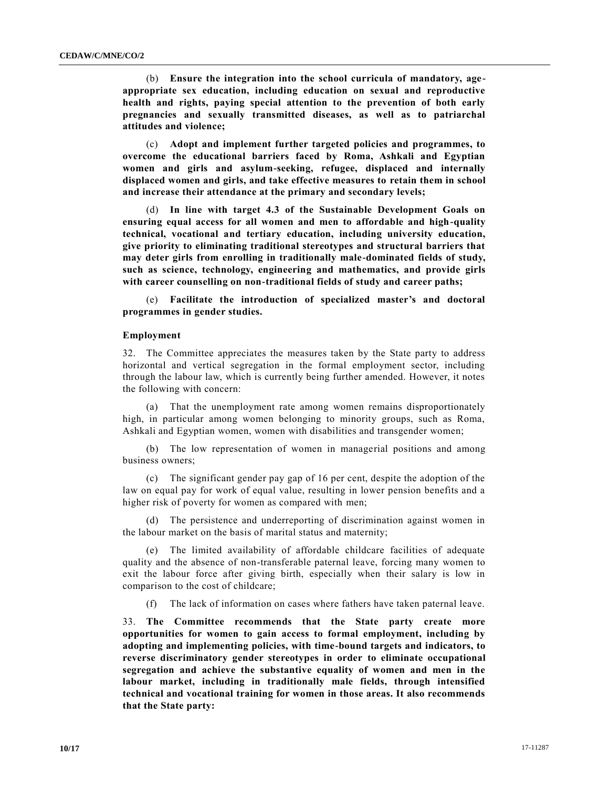(b) **Ensure the integration into the school curricula of mandatory, ageappropriate sex education, including education on sexual and reproductive health and rights, paying special attention to the prevention of both early pregnancies and sexually transmitted diseases, as well as to patriarchal attitudes and violence;**

(c) **Adopt and implement further targeted policies and programmes, to overcome the educational barriers faced by Roma, Ashkali and Egyptian women and girls and asylum-seeking, refugee, displaced and internally displaced women and girls, and take effective measures to retain them in school and increase their attendance at the primary and secondary levels;**

(d) **In line with target 4.3 of the Sustainable Development Goals on ensuring equal access for all women and men to affordable and high-quality technical, vocational and tertiary education, including university education, give priority to eliminating traditional stereotypes and structural barriers that may deter girls from enrolling in traditionally male-dominated fields of study, such as science, technology, engineering and mathematics, and provide girls with career counselling on non-traditional fields of study and career paths;**

(e) **Facilitate the introduction of specialized master's and doctoral programmes in gender studies.**

#### **Employment**

32. The Committee appreciates the measures taken by the State party to address horizontal and vertical segregation in the formal employment sector, including through the labour law, which is currently being further amended. However, it notes the following with concern:

(a) That the unemployment rate among women remains disproportionately high, in particular among women belonging to minority groups, such as Roma, Ashkali and Egyptian women, women with disabilities and transgender women;

(b) The low representation of women in managerial positions and among business owners;

(c) The significant gender pay gap of 16 per cent, despite the adoption of the law on equal pay for work of equal value, resulting in lower pension benefits and a higher risk of poverty for women as compared with men;

(d) The persistence and underreporting of discrimination against women in the labour market on the basis of marital status and maternity;

(e) The limited availability of affordable childcare facilities of adequate quality and the absence of non-transferable paternal leave, forcing many women to exit the labour force after giving birth, especially when their salary is low in comparison to the cost of childcare;

(f) The lack of information on cases where fathers have taken paternal leave.

33. **The Committee recommends that the State party create more opportunities for women to gain access to formal employment, including by adopting and implementing policies, with time-bound targets and indicators, to reverse discriminatory gender stereotypes in order to eliminate occupational segregation and achieve the substantive equality of women and men in the labour market, including in traditionally male fields, through intensified technical and vocational training for women in those areas. It also recommends that the State party:**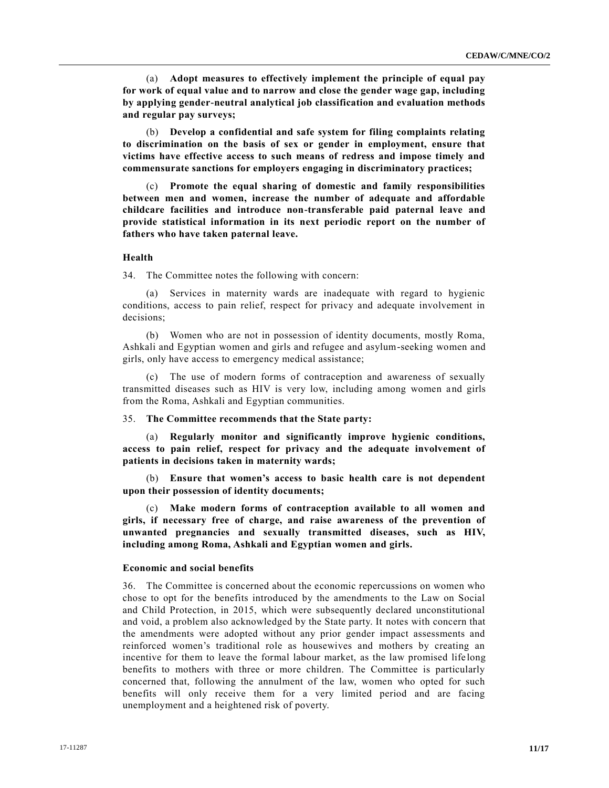(a) **Adopt measures to effectively implement the principle of equal pay for work of equal value and to narrow and close the gender wage gap, including by applying gender-neutral analytical job classification and evaluation methods and regular pay surveys;**

(b) **Develop a confidential and safe system for filing complaints relating to discrimination on the basis of sex or gender in employment, ensure that victims have effective access to such means of redress and impose timely and commensurate sanctions for employers engaging in discriminatory practices;**

(c) **Promote the equal sharing of domestic and family responsibilities between men and women, increase the number of adequate and affordable childcare facilities and introduce non-transferable paid paternal leave and provide statistical information in its next periodic report on the number of fathers who have taken paternal leave.**

# **Health**

34. The Committee notes the following with concern:

(a) Services in maternity wards are inadequate with regard to hygienic conditions, access to pain relief, respect for privacy and adequate involvement in decisions;

(b) Women who are not in possession of identity documents, mostly Roma, Ashkali and Egyptian women and girls and refugee and asylum-seeking women and girls, only have access to emergency medical assistance;

(c) The use of modern forms of contraception and awareness of sexually transmitted diseases such as HIV is very low, including among women and girls from the Roma, Ashkali and Egyptian communities.

#### 35. **The Committee recommends that the State party:**

(a) **Regularly monitor and significantly improve hygienic conditions, access to pain relief, respect for privacy and the adequate involvement of patients in decisions taken in maternity wards;**

(b) **Ensure that women's access to basic health care is not dependent upon their possession of identity documents;**

(c) **Make modern forms of contraception available to all women and girls, if necessary free of charge, and raise awareness of the prevention of unwanted pregnancies and sexually transmitted diseases, such as HIV, including among Roma, Ashkali and Egyptian women and girls.**

# **Economic and social benefits**

36. The Committee is concerned about the economic repercussions on women who chose to opt for the benefits introduced by the amendments to the Law on Social and Child Protection, in 2015, which were subsequently declared unconstitutional and void, a problem also acknowledged by the State party. It notes with concern that the amendments were adopted without any prior gender impact assessments and reinforced women's traditional role as housewives and mothers by creating an incentive for them to leave the formal labour market, as the law promised life long benefits to mothers with three or more children. The Committee is particularly concerned that, following the annulment of the law, women who opted for such benefits will only receive them for a very limited period and are facing unemployment and a heightened risk of poverty.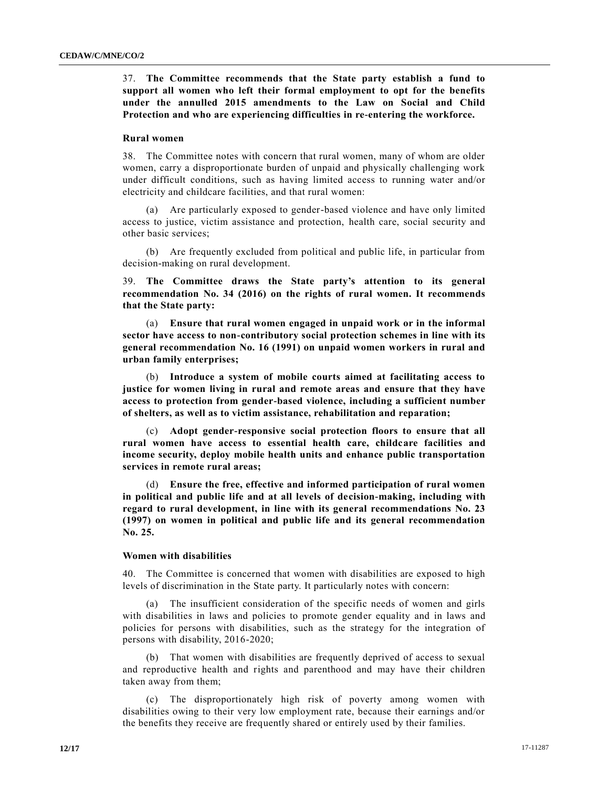37. **The Committee recommends that the State party establish a fund to support all women who left their formal employment to opt for the benefits under the annulled 2015 amendments to the Law on Social and Child Protection and who are experiencing difficulties in re-entering the workforce.**

# **Rural women**

38. The Committee notes with concern that rural women, many of whom are older women, carry a disproportionate burden of unpaid and physically challenging work under difficult conditions, such as having limited access to running water and/or electricity and childcare facilities, and that rural women:

(a) Are particularly exposed to gender-based violence and have only limited access to justice, victim assistance and protection, health care, social security and other basic services;

(b) Are frequently excluded from political and public life, in particular from decision-making on rural development.

39. **The Committee draws the State party's attention to its general recommendation No. 34 (2016) on the rights of rural women. It recommends that the State party:**

(a) **Ensure that rural women engaged in unpaid work or in the informal sector have access to non-contributory social protection schemes in line with its general recommendation No. 16 (1991) on unpaid women workers in rural and urban family enterprises;**

(b) **Introduce a system of mobile courts aimed at facilitating access to justice for women living in rural and remote areas and ensure that they have access to protection from gender-based violence, including a sufficient number of shelters, as well as to victim assistance, rehabilitation and reparation;**

(c) **Adopt gender-responsive social protection floors to ensure that all rural women have access to essential health care, childcare facilities and income security, deploy mobile health units and enhance public transportation services in remote rural areas;**

(d) **Ensure the free, effective and informed participation of rural women in political and public life and at all levels of decision-making, including with regard to rural development, in line with its general recommendations No. 23 (1997) on women in political and public life and its general recommendation No. 25.**

#### **Women with disabilities**

40. The Committee is concerned that women with disabilities are exposed to high levels of discrimination in the State party. It particularly notes with concern:

(a) The insufficient consideration of the specific needs of women and girls with disabilities in laws and policies to promote gender equality and in laws and policies for persons with disabilities, such as the strategy for the integration of persons with disability, 2016-2020;

(b) That women with disabilities are frequently deprived of access to sexual and reproductive health and rights and parenthood and may have their children taken away from them;

(c) The disproportionately high risk of poverty among women with disabilities owing to their very low employment rate, because their earnings and/or the benefits they receive are frequently shared or entirely used by their families.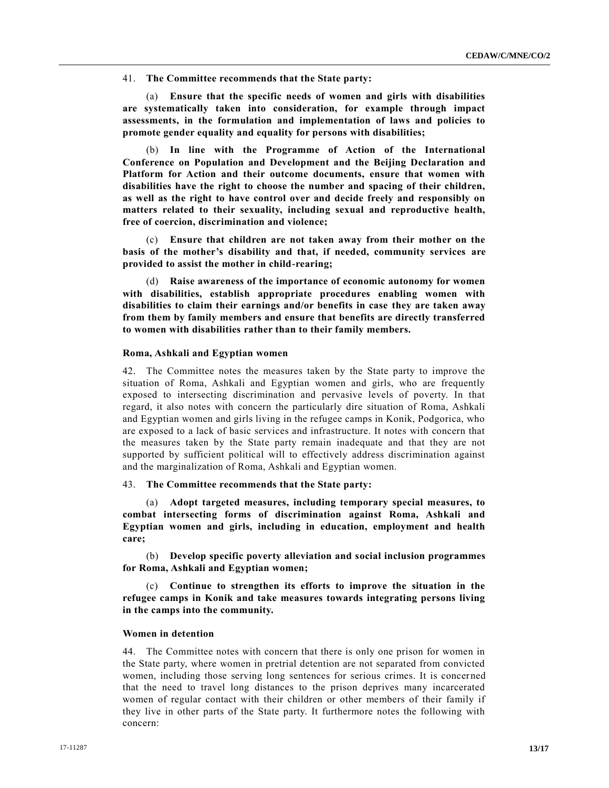41. **The Committee recommends that the State party:**

(a) **Ensure that the specific needs of women and girls with disabilities are systematically taken into consideration, for example through impact assessments, in the formulation and implementation of laws and policies to promote gender equality and equality for persons with disabilities;**

(b) **In line with the Programme of Action of the International Conference on Population and Development and the Beijing Declaration and Platform for Action and their outcome documents, ensure that women with disabilities have the right to choose the number and spacing of their children, as well as the right to have control over and decide freely and responsibly on matters related to their sexuality, including sexual and reproductive health, free of coercion, discrimination and violence;**

(c) **Ensure that children are not taken away from their mother on the basis of the mother's disability and that, if needed, community services are provided to assist the mother in child-rearing;**

(d) **Raise awareness of the importance of economic autonomy for women with disabilities, establish appropriate procedures enabling women with disabilities to claim their earnings and/or benefits in case they are taken away from them by family members and ensure that benefits are directly transferred to women with disabilities rather than to their family members.**

# **Roma, Ashkali and Egyptian women**

42. The Committee notes the measures taken by the State party to improve the situation of Roma, Ashkali and Egyptian women and girls, who are frequently exposed to intersecting discrimination and pervasive levels of poverty. In that regard, it also notes with concern the particularly dire situation of Roma, Ashkali and Egyptian women and girls living in the refugee camps in Konik, Podgorica, who are exposed to a lack of basic services and infrastructure. It notes with concern that the measures taken by the State party remain inadequate and that they are not supported by sufficient political will to effectively address discrimination against and the marginalization of Roma, Ashkali and Egyptian women.

#### 43. **The Committee recommends that the State party:**

(a) **Adopt targeted measures, including temporary special measures, to combat intersecting forms of discrimination against Roma, Ashkali and Egyptian women and girls, including in education, employment and health care;**

(b) **Develop specific poverty alleviation and social inclusion programmes for Roma, Ashkali and Egyptian women;**

(c) **Continue to strengthen its efforts to improve the situation in the refugee camps in Konik and take measures towards integrating persons living in the camps into the community.**

# **Women in detention**

44. The Committee notes with concern that there is only one prison for women in the State party, where women in pretrial detention are not separated from convicted women, including those serving long sentences for serious crimes. It is concerned that the need to travel long distances to the prison deprives many incarcerated women of regular contact with their children or other members of their family if they live in other parts of the State party. It furthermore notes the following with concern: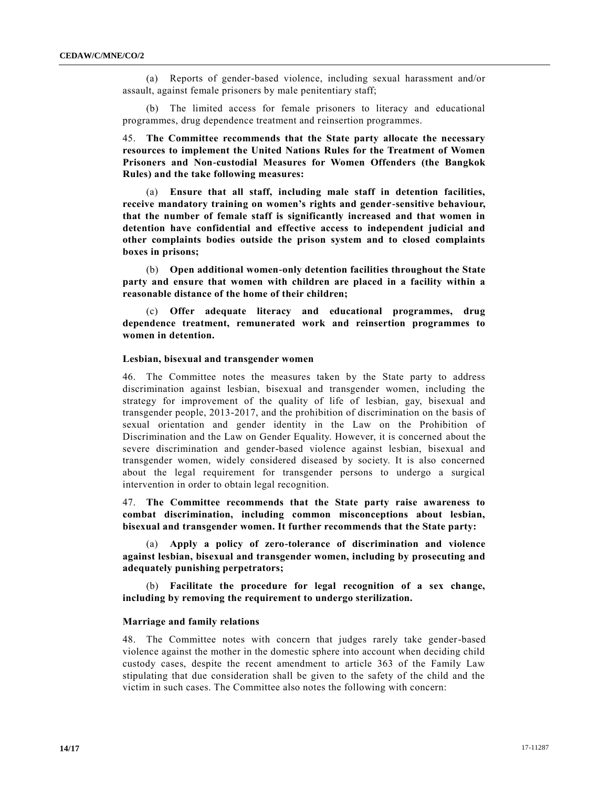(a) Reports of gender-based violence, including sexual harassment and/or assault, against female prisoners by male penitentiary staff;

(b) The limited access for female prisoners to literacy and educational programmes, drug dependence treatment and reinsertion programmes.

45. **The Committee recommends that the State party allocate the necessary resources to implement the United Nations Rules for the Treatment of Women Prisoners and Non-custodial Measures for Women Offenders (the Bangkok Rules) and the take following measures:**

(a) **Ensure that all staff, including male staff in detention facilities, receive mandatory training on women's rights and gender-sensitive behaviour, that the number of female staff is significantly increased and that women in detention have confidential and effective access to independent judicial and other complaints bodies outside the prison system and to closed complaints boxes in prisons;**

(b) **Open additional women-only detention facilities throughout the State party and ensure that women with children are placed in a facility within a reasonable distance of the home of their children;**

**Offer adequate literacy and educational programmes, drug dependence treatment, remunerated work and reinsertion programmes to women in detention.**

# **Lesbian, bisexual and transgender women**

46. The Committee notes the measures taken by the State party to address discrimination against lesbian, bisexual and transgender women, including the strategy for improvement of the quality of life of lesbian, gay, bisexual and transgender people, 2013-2017, and the prohibition of discrimination on the basis of sexual orientation and gender identity in the Law on the Prohibition of Discrimination and the Law on Gender Equality. However, it is concerned about the severe discrimination and gender-based violence against lesbian, bisexual and transgender women, widely considered diseased by society. It is also concerned about the legal requirement for transgender persons to undergo a surgical intervention in order to obtain legal recognition.

47. **The Committee recommends that the State party raise awareness to combat discrimination, including common misconceptions about lesbian, bisexual and transgender women. It further recommends that the State party:**

(a) **Apply a policy of zero-tolerance of discrimination and violence against lesbian, bisexual and transgender women, including by prosecuting and adequately punishing perpetrators;**

(b) **Facilitate the procedure for legal recognition of a sex change, including by removing the requirement to undergo sterilization.**

#### **Marriage and family relations**

48. The Committee notes with concern that judges rarely take gender-based violence against the mother in the domestic sphere into account when deciding child custody cases, despite the recent amendment to article 363 of the Family Law stipulating that due consideration shall be given to the safety of the child and the victim in such cases. The Committee also notes the following with concern: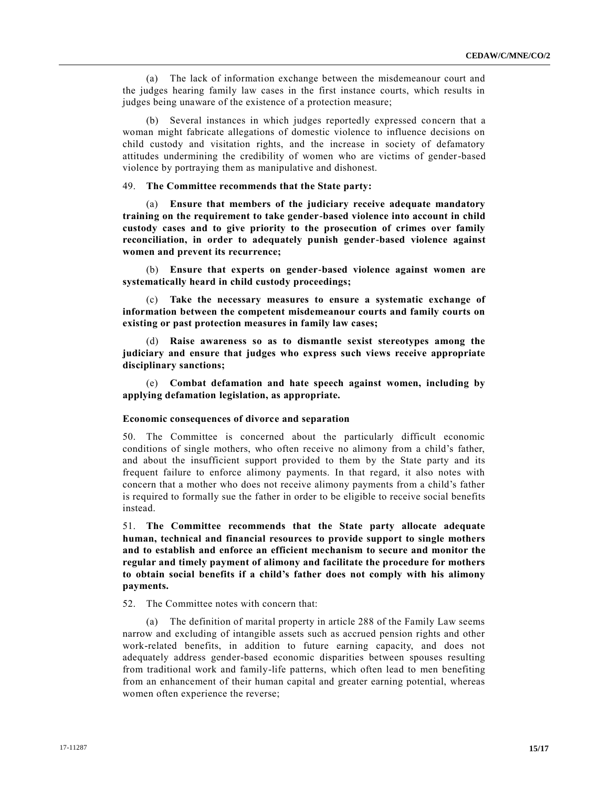(a) The lack of information exchange between the misdemeanour court and the judges hearing family law cases in the first instance courts, which results in judges being unaware of the existence of a protection measure;

(b) Several instances in which judges reportedly expressed concern that a woman might fabricate allegations of domestic violence to influence decisions on child custody and visitation rights, and the increase in society of defamatory attitudes undermining the credibility of women who are victims of gender-based violence by portraying them as manipulative and dishonest.

# 49. **The Committee recommends that the State party:**

(a) **Ensure that members of the judiciary receive adequate mandatory training on the requirement to take gender-based violence into account in child custody cases and to give priority to the prosecution of crimes over family reconciliation, in order to adequately punish gender-based violence against women and prevent its recurrence;**

(b) **Ensure that experts on gender-based violence against women are systematically heard in child custody proceedings;**

(c) **Take the necessary measures to ensure a systematic exchange of information between the competent misdemeanour courts and family courts on existing or past protection measures in family law cases;**

(d) **Raise awareness so as to dismantle sexist stereotypes among the judiciary and ensure that judges who express such views receive appropriate disciplinary sanctions;**

(e) **Combat defamation and hate speech against women, including by applying defamation legislation, as appropriate.**

#### **Economic consequences of divorce and separation**

50. The Committee is concerned about the particularly difficult economic conditions of single mothers, who often receive no alimony from a child's father, and about the insufficient support provided to them by the State party and its frequent failure to enforce alimony payments. In that regard, it also notes with concern that a mother who does not receive alimony payments from a child's father is required to formally sue the father in order to be eligible to receive social benefits instead.

51. **The Committee recommends that the State party allocate adequate human, technical and financial resources to provide support to single mothers and to establish and enforce an efficient mechanism to secure and monitor the regular and timely payment of alimony and facilitate the procedure for mothers to obtain social benefits if a child's father does not comply with his alimony payments.**

52. The Committee notes with concern that:

(a) The definition of marital property in article 288 of the Family Law seems narrow and excluding of intangible assets such as accrued pension rights and other work-related benefits, in addition to future earning capacity, and does not adequately address gender-based economic disparities between spouses resulting from traditional work and family-life patterns, which often lead to men benefiting from an enhancement of their human capital and greater earning potential, whereas women often experience the reverse;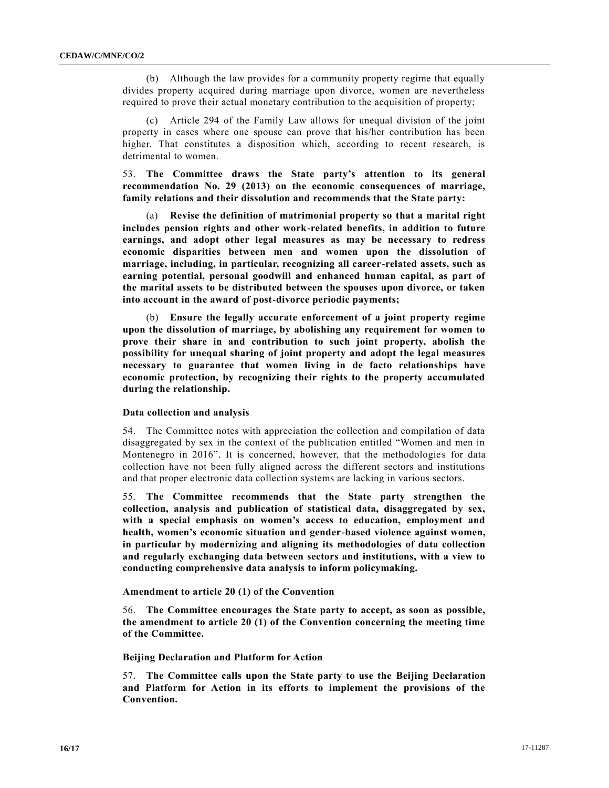(b) Although the law provides for a community property regime that equally divides property acquired during marriage upon divorce, women are nevertheless required to prove their actual monetary contribution to the acquisition of property;

(c) Article 294 of the Family Law allows for unequal division of the joint property in cases where one spouse can prove that his/her contribution has been higher. That constitutes a disposition which, according to recent research, is detrimental to women.

53. **The Committee draws the State party's attention to its general recommendation No. 29 (2013) on the economic consequences of marriage, family relations and their dissolution and recommends that the State party:**

(a) **Revise the definition of matrimonial property so that a marital right includes pension rights and other work-related benefits, in addition to future earnings, and adopt other legal measures as may be necessary to redress economic disparities between men and women upon the dissolution of marriage, including, in particular, recognizing all career-related assets, such as earning potential, personal goodwill and enhanced human capital, as part of the marital assets to be distributed between the spouses upon divorce, or taken into account in the award of post-divorce periodic payments;**

(b) **Ensure the legally accurate enforcement of a joint property regime upon the dissolution of marriage, by abolishing any requirement for women to prove their share in and contribution to such joint property, abolish the possibility for unequal sharing of joint property and adopt the legal measures necessary to guarantee that women living in de facto relationships have economic protection, by recognizing their rights to the property accumulated during the relationship.**

#### **Data collection and analysis**

54. The Committee notes with appreciation the collection and compilation of data disaggregated by sex in the context of the publication entitled "Women and men in Montenegro in 2016". It is concerned, however, that the methodologies for data collection have not been fully aligned across the different sectors and institutions and that proper electronic data collection systems are lacking in various sectors.

55. **The Committee recommends that the State party strengthen the collection, analysis and publication of statistical data, disaggregated by sex, with a special emphasis on women's access to education, employment and health, women's economic situation and gender-based violence against women, in particular by modernizing and aligning its methodologies of data collection and regularly exchanging data between sectors and institutions, with a view to conducting comprehensive data analysis to inform policymaking.**

#### **Amendment to article 20 (1) of the Convention**

56. **The Committee encourages the State party to accept, as soon as possible, the amendment to article 20 (1) of the Convention concerning the meeting time of the Committee.**

### **Beijing Declaration and Platform for Action**

57. **The Committee calls upon the State party to use the Beijing Declaration and Platform for Action in its efforts to implement the provisions of the Convention.**